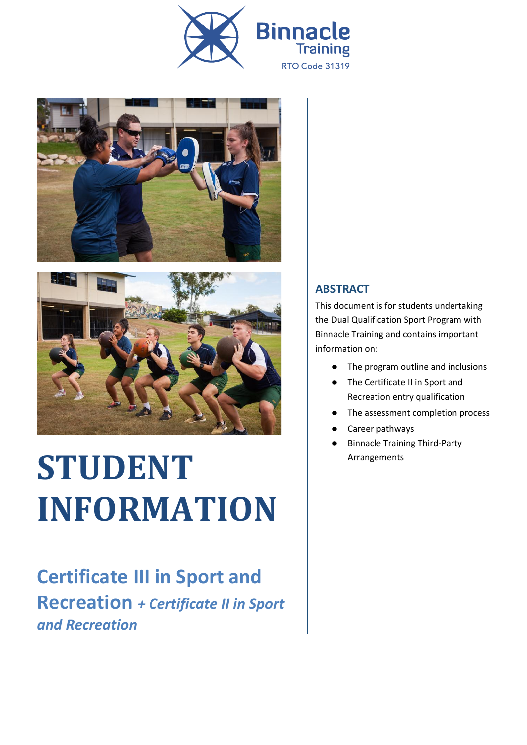





# **STUDENT INFORMATION**

**Certificate III in Sport and Recreation** *+ Certificate II in Sport and Recreation*

#### **ABSTRACT**

This document is for students undertaking the Dual Qualification Sport Program with Binnacle Training and contains important information on:

- The program outline and inclusions
- The Certificate II in Sport and Recreation entry qualification
- The assessment completion process
- Career pathways
- Binnacle Training Third-Party Arrangements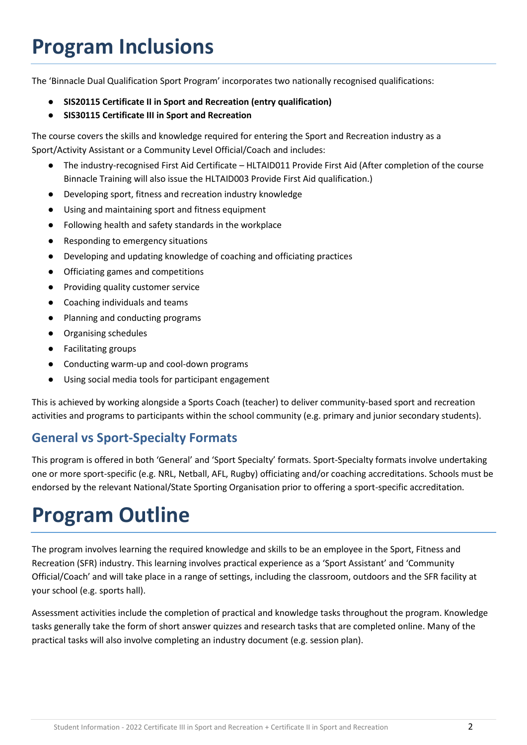# **Program Inclusions**

The 'Binnacle Dual Qualification Sport Program' incorporates two nationally recognised qualifications:

- **SIS20115 Certificate II in Sport and Recreation (entry qualification)**
- **SIS30115 Certificate III in Sport and Recreation**

The course covers the skills and knowledge required for entering the Sport and Recreation industry as a Sport/Activity Assistant or a Community Level Official/Coach and includes:

- The industry-recognised First Aid Certificate HLTAID011 Provide First Aid (After completion of the course Binnacle Training will also issue the HLTAID003 Provide First Aid qualification.)
- Developing sport, fitness and recreation industry knowledge
- Using and maintaining sport and fitness equipment
- Following health and safety standards in the workplace
- Responding to emergency situations
- Developing and updating knowledge of coaching and officiating practices
- Officiating games and competitions
- Providing quality customer service
- Coaching individuals and teams
- Planning and conducting programs
- Organising schedules
- Facilitating groups
- Conducting warm-up and cool-down programs
- Using social media tools for participant engagement

This is achieved by working alongside a Sports Coach (teacher) to deliver community-based sport and recreation activities and programs to participants within the school community (e.g. primary and junior secondary students).

#### **General vs Sport-Specialty Formats**

This program is offered in both 'General' and 'Sport Specialty' formats. Sport-Specialty formats involve undertaking one or more sport-specific (e.g. NRL, Netball, AFL, Rugby) officiating and/or coaching accreditations. Schools must be endorsed by the relevant National/State Sporting Organisation prior to offering a sport-specific accreditation.

#### **Program Outline**

The program involves learning the required knowledge and skills to be an employee in the Sport, Fitness and Recreation (SFR) industry. This learning involves practical experience as a 'Sport Assistant' and 'Community Official/Coach' and will take place in a range of settings, including the classroom, outdoors and the SFR facility at your school (e.g. sports hall).

Assessment activities include the completion of practical and knowledge tasks throughout the program. Knowledge tasks generally take the form of short answer quizzes and research tasks that are completed online. Many of the practical tasks will also involve completing an industry document (e.g. session plan).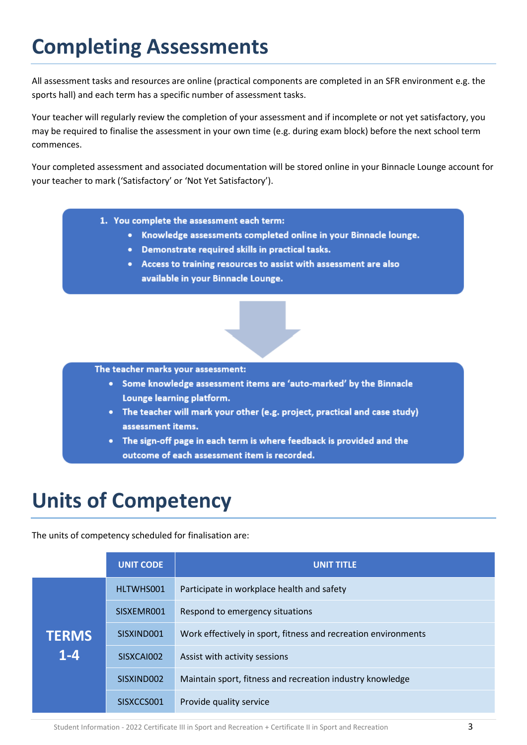# **Completing Assessments**

All assessment tasks and resources are online (practical components are completed in an SFR environment e.g. the sports hall) and each term has a specific number of assessment tasks.

Your teacher will regularly review the completion of your assessment and if incomplete or not yet satisfactory, you may be required to finalise the assessment in your own time (e.g. during exam block) before the next school term commences.

Your completed assessment and associated documentation will be stored online in your Binnacle Lounge account for your teacher to mark ('Satisfactory' or 'Not Yet Satisfactory').

- 1. You complete the assessment each term:
	- Knowledge assessments completed online in your Binnacle lounge.
	- Demonstrate required skills in practical tasks.
	- Access to training resources to assist with assessment are also available in your Binnacle Lounge.

#### The teacher marks your assessment:

- Some knowledge assessment items are 'auto-marked' by the Binnacle Lounge learning platform.
- The teacher will mark your other (e.g. project, practical and case study) assessment items.
- The sign-off page in each term is where feedback is provided and the outcome of each assessment item is recorded.

# **Units of Competency**

The units of competency scheduled for finalisation are:

|                         | <b>UNIT CODE</b> | <b>UNIT TITLE</b>                                              |
|-------------------------|------------------|----------------------------------------------------------------|
| <b>TERMS</b><br>$1 - 4$ | HLTWHS001        | Participate in workplace health and safety                     |
|                         | SISXEMR001       | Respond to emergency situations                                |
|                         | SISXIND001       | Work effectively in sport, fitness and recreation environments |
|                         | SISXCAI002       | Assist with activity sessions                                  |
|                         | SISXIND002       | Maintain sport, fitness and recreation industry knowledge      |
|                         | SISXCCS001       | Provide quality service                                        |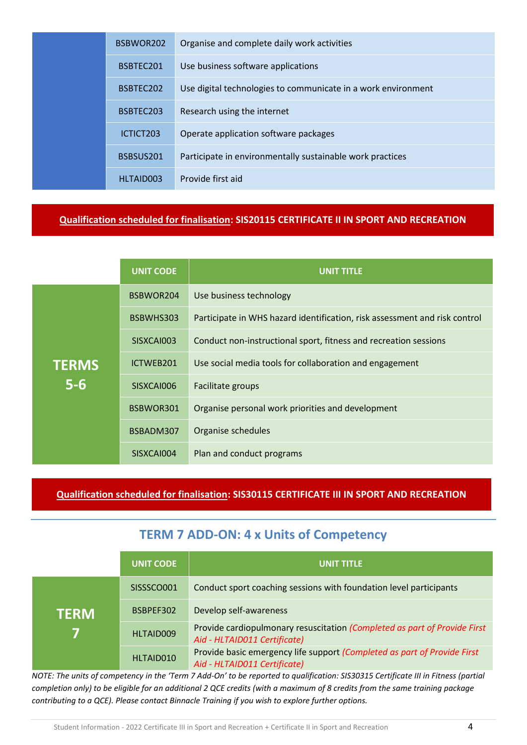|  | BSBWOR202 | Organise and complete daily work activities                   |
|--|-----------|---------------------------------------------------------------|
|  | BSBTEC201 | Use business software applications                            |
|  | BSBTEC202 | Use digital technologies to communicate in a work environment |
|  | BSBTEC203 | Research using the internet                                   |
|  | ICTICT203 | Operate application software packages                         |
|  | BSBSUS201 | Participate in environmentally sustainable work practices     |
|  | HLTAID003 | Provide first aid                                             |

#### **Qualification scheduled for finalisation: SIS20115 CERTIFICATE II IN SPORT AND RECREATION**

|              | <b>UNIT CODE</b> | <b>UNIT TITLE</b>                                                          |
|--------------|------------------|----------------------------------------------------------------------------|
|              | BSBWOR204        | Use business technology                                                    |
|              | BSBWHS303        | Participate in WHS hazard identification, risk assessment and risk control |
|              | SISXCAI003       | Conduct non-instructional sport, fitness and recreation sessions           |
| <b>TERMS</b> | ICTWEB201        | Use social media tools for collaboration and engagement                    |
| $5-6$        | SISXCAI006       | Facilitate groups                                                          |
|              | BSBWOR301        | Organise personal work priorities and development                          |
|              | BSBADM307        | Organise schedules                                                         |
|              | SISXCAI004       | Plan and conduct programs                                                  |

**Qualification scheduled for finalisation: SIS30115 CERTIFICATE III IN SPORT AND RECREATION**

#### **TERM 7 ADD-ON: 4 x Units of Competency**

|              | UNIT CODE  | <b>UNIT TITLE</b>                                                                                         |
|--------------|------------|-----------------------------------------------------------------------------------------------------------|
| <b>TERM'</b> | SISSSCO001 | Conduct sport coaching sessions with foundation level participants                                        |
|              | BSBPEF302  | Develop self-awareness                                                                                    |
|              | HLTAID009  | Provide cardiopulmonary resuscitation (Completed as part of Provide First<br>Aid - HLTAID011 Certificate) |
|              | HLTAID010  | Provide basic emergency life support (Completed as part of Provide First<br>Aid - HLTAID011 Certificate)  |

*NOTE: The units of competency in the 'Term 7 Add-On' to be reported to qualification: SIS30315 Certificate III in Fitness (partial completion only) to be eligible for an additional 2 QCE credits (with a maximum of 8 credits from the same training package contributing to a QCE). Please contact Binnacle Training if you wish to explore further options.*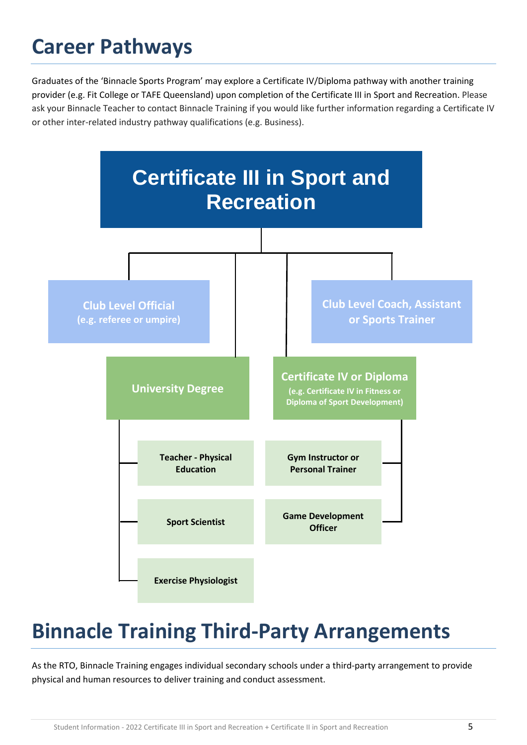## **Career Pathways**

Graduates of the 'Binnacle Sports Program' may explore a Certificate IV/Diploma pathway with another training provider (e.g. Fit College or TAFE Queensland) upon completion of the Certificate III in Sport and Recreation. Please ask your Binnacle Teacher to contact Binnacle Training if you would like further information regarding a Certificate IV or other inter-related industry pathway qualifications (e.g. Business).



# **Binnacle Training Third-Party Arrangements**

As the RTO, Binnacle Training engages individual secondary schools under a third-party arrangement to provide physical and human resources to deliver training and conduct assessment.